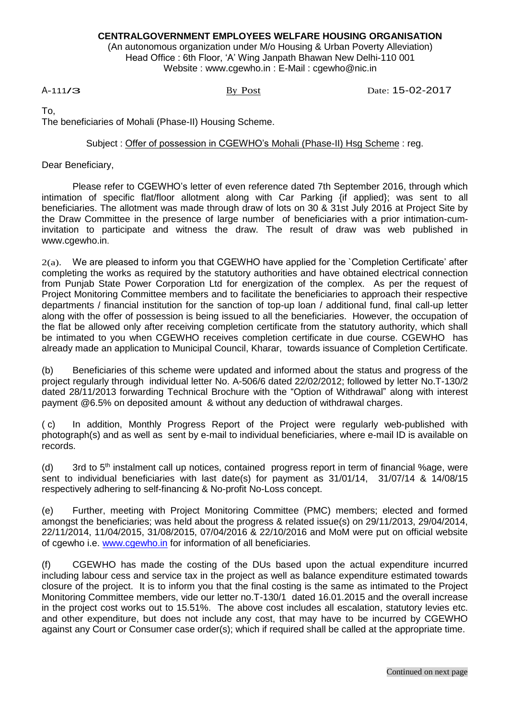## **CENTRALGOVERNMENT EMPLOYEES WELFARE HOUSING ORGANISATION**

(An autonomous organization under M/o Housing & Urban Poverty Alleviation) Head Office : 6th Floor, 'A' Wing Janpath Bhawan New Delhi-110 001 Website : [www.cgewho.in](http://www.cgewho.in/) : E-Mail : [cgewho@nic.in](mailto:cgewho@nic.in)

<sup>A</sup>-111/3 By Post Date: 15-02-2017

To,

The beneficiaries of Mohali (Phase-II) Housing Scheme.

Subject : Offer of possession in CGEWHO's Mohali (Phase-II) Hsg Scheme : reg.

Dear Beneficiary,

Please refer to CGEWHO's letter of even reference dated 7th September 2016, through which intimation of specific flat/floor allotment along with Car Parking {if applied}; was sent to all beneficiaries. The allotment was made through draw of lots on 30 & 31st July 2016 at Project Site by the Draw Committee in the presence of large number of beneficiaries with a prior intimation-cuminvitation to participate and witness the draw. The result of draw was web published in [www.cgewho.in](http://www.cgewho.in/).

 $2(a)$ . We are pleased to inform you that CGEWHO have applied for the `Completion Certificate' after completing the works as required by the statutory authorities and have obtained electrical connection from Punjab State Power Corporation Ltd for energization of the complex. As per the request of Project Monitoring Committee members and to facilitate the beneficiaries to approach their respective departments / financial institution for the sanction of top-up loan / additional fund, final call-up letter along with the offer of possession is being issued to all the beneficiaries. However, the occupation of the flat be allowed only after receiving completion certificate from the statutory authority, which shall be intimated to you when CGEWHO receives completion certificate in due course. CGEWHO has already made an application to Municipal Council, Kharar, towards issuance of Completion Certificate.

(b) Beneficiaries of this scheme were updated and informed about the status and progress of the project regularly through individual letter No. A-506/6 dated 22/02/2012; followed by letter No.T-130/2 dated 28/11/2013 forwarding Technical Brochure with the "Option of Withdrawal" along with interest payment @6.5% on deposited amount & without any deduction of withdrawal charges.

( c) In addition, Monthly Progress Report of the Project were regularly web-published with photograph(s) and as well as sent by e-mail to individual beneficiaries, where e-mail ID is available on records.

(d) 3rd to  $5<sup>th</sup>$  instalment call up notices, contained progress report in term of financial %age, were sent to individual beneficiaries with last date(s) for payment as 31/01/14, 31/07/14 & 14/08/15 respectively adhering to self-financing & No-profit No-Loss concept.

(e) Further, meeting with Project Monitoring Committee (PMC) members; elected and formed amongst the beneficiaries; was held about the progress & related issue(s) on 29/11/2013, 29/04/2014, 22/11/2014, 11/04/2015, 31/08/2015, 07/04/2016 & 22/10/2016 and MoM were put on official website of cgewho i.e. [www.cgewho.in](http://www.cgewho.in/) for information of all beneficiaries.

(f) CGEWHO has made the costing of the DUs based upon the actual expenditure incurred including labour cess and service tax in the project as well as balance expenditure estimated towards closure of the project. It is to inform you that the final costing is the same as intimated to the Project Monitoring Committee members, vide our letter no.T-130/1 dated 16.01.2015 and the overall increase in the project cost works out to 15.51%. The above cost includes all escalation, statutory levies etc. and other expenditure, but does not include any cost, that may have to be incurred by CGEWHO against any Court or Consumer case order(s); which if required shall be called at the appropriate time.